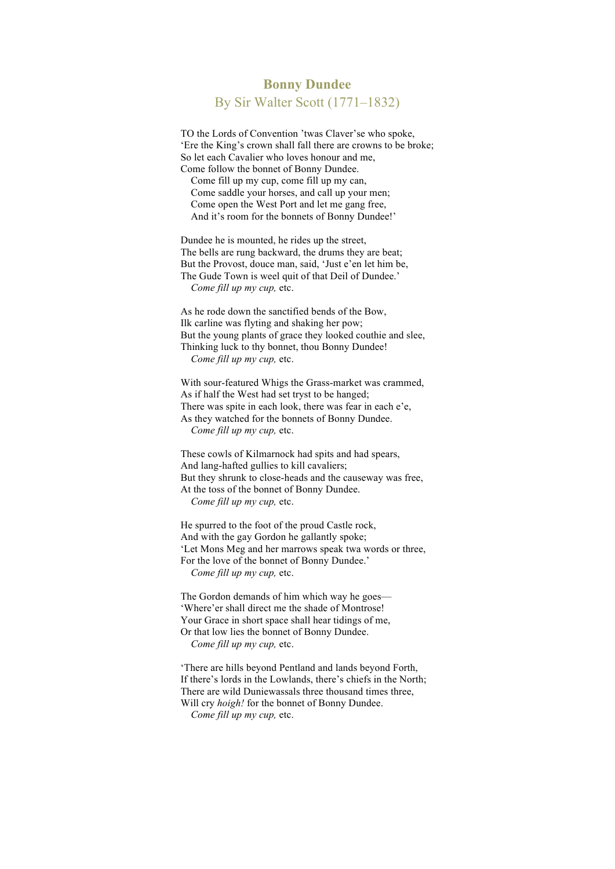## **Bonny Dundee** By Sir Walter Scott (1771–1832)

TO the Lords of Convention 'twas Claver'se who spoke, 'Ere the King's crown shall fall there are crowns to be broke; So let each Cavalier who loves honour and me, Come follow the bonnet of Bonny Dundee.

Come fill up my cup, come fill up my can, Come saddle your horses, and call up your men; Come open the West Port and let me gang free, And it's room for the bonnets of Bonny Dundee!'

Dundee he is mounted, he rides up the street, The bells are rung backward, the drums they are beat; But the Provost, douce man, said, 'Just e'en let him be, The Gude Town is weel quit of that Deil of Dundee.' *Come fill up my cup,* etc.

As he rode down the sanctified bends of the Bow, Ilk carline was flyting and shaking her pow; But the young plants of grace they looked couthie and slee, Thinking luck to thy bonnet, thou Bonny Dundee! *Come fill up my cup,* etc.

With sour-featured Whigs the Grass-market was crammed, As if half the West had set tryst to be hanged; There was spite in each look, there was fear in each e'e, As they watched for the bonnets of Bonny Dundee. *Come fill up my cup,* etc.

These cowls of Kilmarnock had spits and had spears, And lang-hafted gullies to kill cavaliers; But they shrunk to close-heads and the causeway was free, At the toss of the bonnet of Bonny Dundee. *Come fill up my cup,* etc.

He spurred to the foot of the proud Castle rock, And with the gay Gordon he gallantly spoke; 'Let Mons Meg and her marrows speak twa words or three, For the love of the bonnet of Bonny Dundee.' *Come fill up my cup,* etc.

The Gordon demands of him which way he goes— 'Where'er shall direct me the shade of Montrose! Your Grace in short space shall hear tidings of me, Or that low lies the bonnet of Bonny Dundee. *Come fill up my cup,* etc.

'There are hills beyond Pentland and lands beyond Forth, If there's lords in the Lowlands, there's chiefs in the North; There are wild Duniewassals three thousand times three, Will cry *hoigh!* for the bonnet of Bonny Dundee. *Come fill up my cup,* etc.